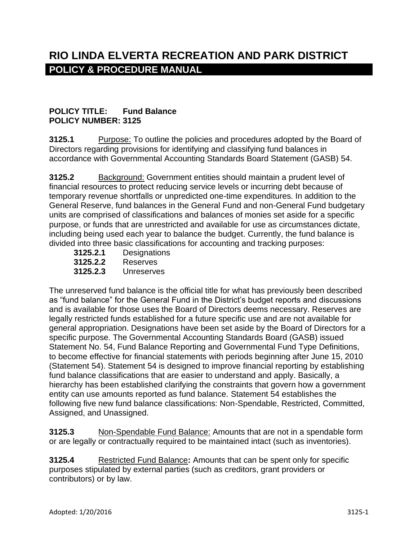## **POLICY TITLE: Fund Balance POLICY NUMBER: 3125**

**3125.1** Purpose: To outline the policies and procedures adopted by the Board of Directors regarding provisions for identifying and classifying fund balances in accordance with Governmental Accounting Standards Board Statement (GASB) 54.

**3125.2** Background: Government entities should maintain a prudent level of financial resources to protect reducing service levels or incurring debt because of temporary revenue shortfalls or unpredicted one-time expenditures. In addition to the General Reserve, fund balances in the General Fund and non-General Fund budgetary units are comprised of classifications and balances of monies set aside for a specific purpose, or funds that are unrestricted and available for use as circumstances dictate, including being used each year to balance the budget. Currently, the fund balance is divided into three basic classifications for accounting and tracking purposes:

**3125.2.1** Designations **3125.2.2** Reserves **3125.2.3** Unreserves

The unreserved fund balance is the official title for what has previously been described as "fund balance" for the General Fund in the District's budget reports and discussions and is available for those uses the Board of Directors deems necessary. Reserves are legally restricted funds established for a future specific use and are not available for general appropriation. Designations have been set aside by the Board of Directors for a specific purpose. The Governmental Accounting Standards Board (GASB) issued Statement No. 54, Fund Balance Reporting and Governmental Fund Type Definitions, to become effective for financial statements with periods beginning after June 15, 2010 (Statement 54). Statement 54 is designed to improve financial reporting by establishing fund balance classifications that are easier to understand and apply. Basically, a hierarchy has been established clarifying the constraints that govern how a government entity can use amounts reported as fund balance. Statement 54 establishes the following five new fund balance classifications: Non-Spendable, Restricted, Committed, Assigned, and Unassigned.

**3125.3** Non-Spendable Fund Balance: Amounts that are not in a spendable form or are legally or contractually required to be maintained intact (such as inventories).

**3125.4** Restricted Fund Balance**:** Amounts that can be spent only for specific purposes stipulated by external parties (such as creditors, grant providers or contributors) or by law.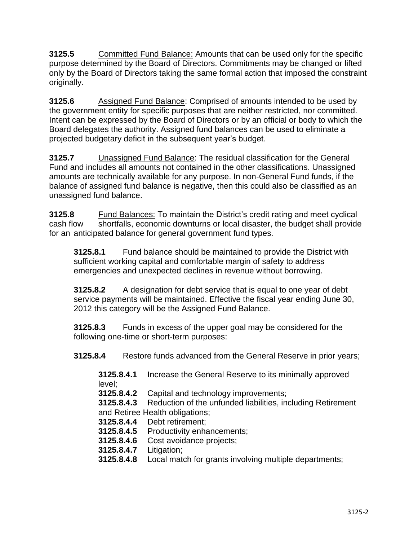**3125.5** Committed Fund Balance: Amounts that can be used only for the specific purpose determined by the Board of Directors. Commitments may be changed or lifted only by the Board of Directors taking the same formal action that imposed the constraint originally.

**3125.6** Assigned Fund Balance: Comprised of amounts intended to be used by the government entity for specific purposes that are neither restricted, nor committed. Intent can be expressed by the Board of Directors or by an official or body to which the Board delegates the authority. Assigned fund balances can be used to eliminate a projected budgetary deficit in the subsequent year's budget.

**3125.7** Unassigned Fund Balance: The residual classification for the General Fund and includes all amounts not contained in the other classifications. Unassigned amounts are technically available for any purpose. In non-General Fund funds, if the balance of assigned fund balance is negative, then this could also be classified as an unassigned fund balance.

**3125.8** Fund Balances: To maintain the District's credit rating and meet cyclical cash flow shortfalls, economic downturns or local disaster, the budget shall provide for an anticipated balance for general government fund types.

**3125.8.1** Fund balance should be maintained to provide the District with sufficient working capital and comfortable margin of safety to address emergencies and unexpected declines in revenue without borrowing.

**3125.8.2** A designation for debt service that is equal to one year of debt service payments will be maintained. Effective the fiscal year ending June 30, 2012 this category will be the Assigned Fund Balance.

**3125.8.3** Funds in excess of the upper goal may be considered for the following one-time or short-term purposes:

**3125.8.4** Restore funds advanced from the General Reserve in prior years;

**3125.8.4.1** Increase the General Reserve to its minimally approved level; **3125.8.4.2** Capital and technology improvements; **3125.8.4.3** Reduction of the unfunded liabilities, including Retirement and Retiree Health obligations; **3125.8.4.4** Debt retirement; **3125.8.4.5** Productivity enhancements; **3125.8.4.6** Cost avoidance projects;

**3125.8.4.7** Litigation; Local match for grants involving multiple departments;